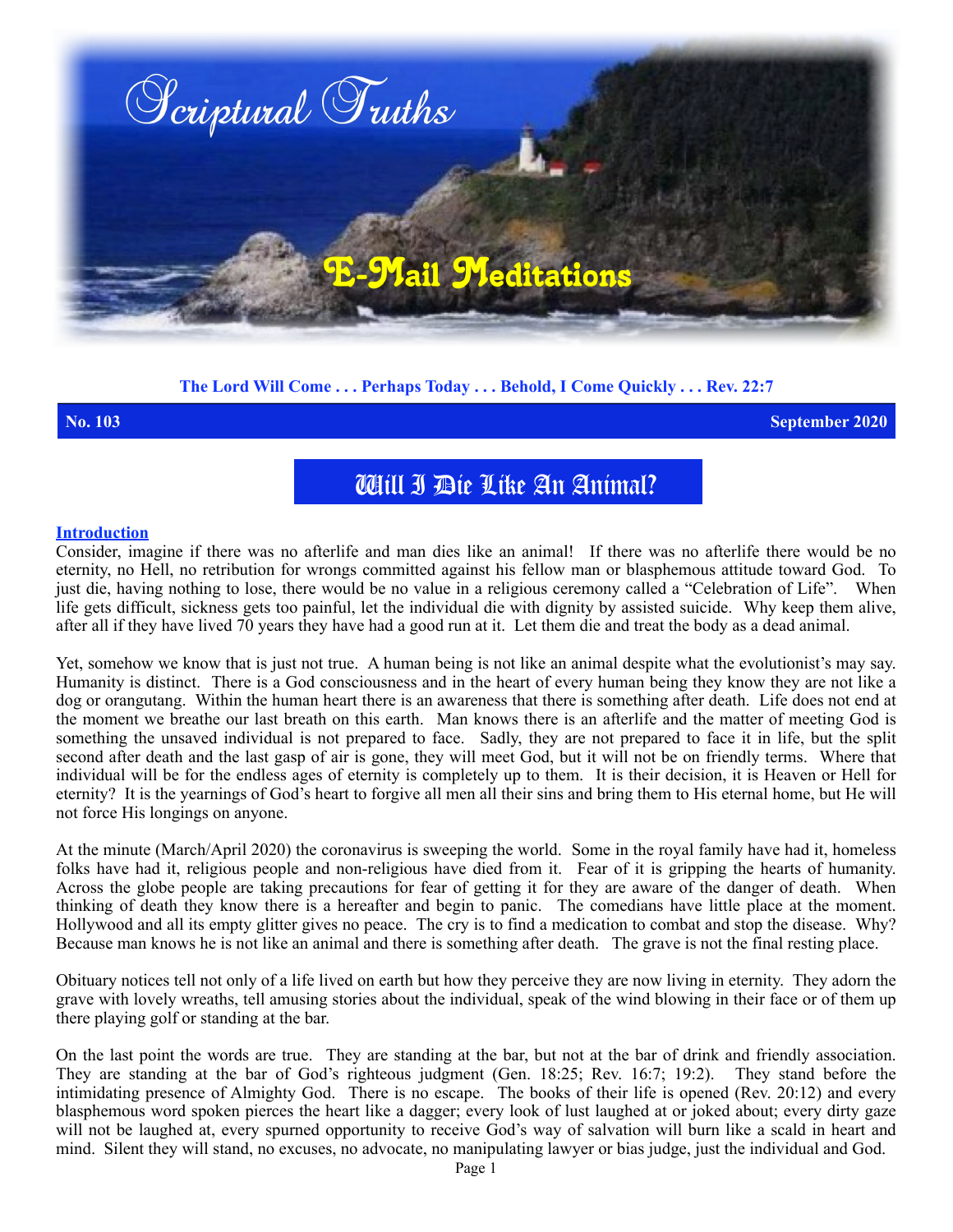

## **The Lord Will Come . . . Perhaps Today . . . Behold, I Come Quickly . . . Rev. 22:7**

**No. 103 September 2020**

## Will I Die Like An Animal?

## **Introduction**

Consider, imagine if there was no afterlife and man dies like an animal! If there was no afterlife there would be no eternity, no Hell, no retribution for wrongs committed against his fellow man or blasphemous attitude toward God. To just die, having nothing to lose, there would be no value in a religious ceremony called a "Celebration of Life". When life gets difficult, sickness gets too painful, let the individual die with dignity by assisted suicide. Why keep them alive, after all if they have lived 70 years they have had a good run at it. Let them die and treat the body as a dead animal.

Yet, somehow we know that is just not true. A human being is not like an animal despite what the evolutionist's may say. Humanity is distinct. There is a God consciousness and in the heart of every human being they know they are not like a dog or orangutang. Within the human heart there is an awareness that there is something after death. Life does not end at the moment we breathe our last breath on this earth. Man knows there is an afterlife and the matter of meeting God is something the unsaved individual is not prepared to face. Sadly, they are not prepared to face it in life, but the split second after death and the last gasp of air is gone, they will meet God, but it will not be on friendly terms. Where that individual will be for the endless ages of eternity is completely up to them. It is their decision, it is Heaven or Hell for eternity?It is the yearnings of God's heart to forgive all men all their sins and bring them to His eternal home, but He will not force His longings on anyone.

At the minute (March/April 2020) the coronavirus is sweeping the world. Some in the royal family have had it, homeless folks have had it, religious people and non-religious have died from it. Fear of it is gripping the hearts of humanity. Across the globe people are taking precautions for fear of getting it for they are aware of the danger of death. When thinking of death they know there is a hereafter and begin to panic. The comedians have little place at the moment. Hollywood and all its empty glitter gives no peace. The cry is to find a medication to combat and stop the disease. Why? Because man knows he is not like an animal and there is something after death. The grave is not the final resting place.

Obituary notices tell not only of a life lived on earth but how they perceive they are now living in eternity. They adorn the grave with lovely wreaths, tell amusing stories about the individual, speak of the wind blowing in their face or of them up there playing golf or standing at the bar.

On the last point the words are true. They are standing at the bar, but not at the bar of drink and friendly association. They are standing at the bar of God's righteous judgment (Gen. 18:25; Rev. 16:7; 19:2). They stand before the intimidating presence of Almighty God. There is no escape. The books of their life is opened (Rev. 20:12) and every blasphemous word spoken pierces the heart like a dagger; every look of lust laughed at or joked about; every dirty gaze will not be laughed at, every spurned opportunity to receive God's way of salvation will burn like a scald in heart and mind. Silent they will stand, no excuses, no advocate, no manipulating lawyer or bias judge, just the individual and God.